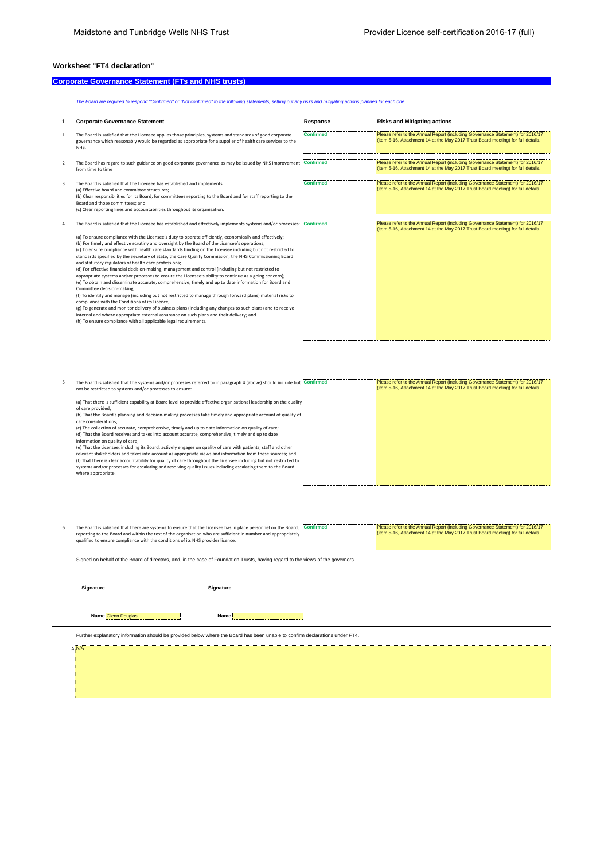## **Worksheet "FT4 declaration"**

## **Corporate Governance Statement (FTs and NHS trusts) Company of the Company of the Company of the Company of the Company of the Company of the Company of the Company of the Company of the Company of the Company of the Co**

|                | The Board are required to respond "Confirmed" or "Not confirmed" to the following statements, setting out any risks and mitigating actions planned for each one                                                                                                                                                                                                                                                                                                                                                                                                                                                                                                                                                                                                                                                                                                                                                                                                                                                                                                                                                                                                                                                                                                                                                                                                                                                       |                  |                                                                                                                                                                    |
|----------------|-----------------------------------------------------------------------------------------------------------------------------------------------------------------------------------------------------------------------------------------------------------------------------------------------------------------------------------------------------------------------------------------------------------------------------------------------------------------------------------------------------------------------------------------------------------------------------------------------------------------------------------------------------------------------------------------------------------------------------------------------------------------------------------------------------------------------------------------------------------------------------------------------------------------------------------------------------------------------------------------------------------------------------------------------------------------------------------------------------------------------------------------------------------------------------------------------------------------------------------------------------------------------------------------------------------------------------------------------------------------------------------------------------------------------|------------------|--------------------------------------------------------------------------------------------------------------------------------------------------------------------|
|                | <b>Corporate Governance Statement</b>                                                                                                                                                                                                                                                                                                                                                                                                                                                                                                                                                                                                                                                                                                                                                                                                                                                                                                                                                                                                                                                                                                                                                                                                                                                                                                                                                                                 | Response         | <b>Risks and Mitigating actions</b>                                                                                                                                |
| $\mathbf{1}$   | The Board is satisfied that the Licensee applies those principles, systems and standards of good corporate<br>governance which reasonably would be regarded as appropriate for a supplier of health care services to the<br>NHS.                                                                                                                                                                                                                                                                                                                                                                                                                                                                                                                                                                                                                                                                                                                                                                                                                                                                                                                                                                                                                                                                                                                                                                                      | Confirmed        | Please refer to the Annual Report (including Governance Statement) for 2016/17<br>(item 5-16, Attachment 14 at the May 2017 Trust Board meeting) for full details. |
| $\overline{2}$ | The Board has regard to such guidance on good corporate governance as may be issued by NHS Improvement<br>from time to time                                                                                                                                                                                                                                                                                                                                                                                                                                                                                                                                                                                                                                                                                                                                                                                                                                                                                                                                                                                                                                                                                                                                                                                                                                                                                           | <b>Confirmed</b> | Please refer to the Annual Report (including Governance Statement) for 2016/17<br>(item 5-16, Attachment 14 at the May 2017 Trust Board meeting) for full details. |
| 3              | The Board is satisfied that the Licensee has established and implements:<br>(a) Effective board and committee structures;<br>(b) Clear responsibilities for its Board, for committees reporting to the Board and for staff reporting to the<br>Board and those committees: and<br>(c) Clear reporting lines and accountabilities throughout its organisation.                                                                                                                                                                                                                                                                                                                                                                                                                                                                                                                                                                                                                                                                                                                                                                                                                                                                                                                                                                                                                                                         | <b>Confirmed</b> | Please refer to the Annual Report (including Governance Statement) for 2016/17<br>(item 5-16, Attachment 14 at the May 2017 Trust Board meeting) for full details. |
|                | The Board is satisfied that the Licensee has established and effectively implements systems and/or processes:<br>(a) To ensure compliance with the Licensee's duty to operate efficiently, economically and effectively;<br>(b) For timely and effective scrutiny and oversight by the Board of the Licensee's operations;<br>(c) To ensure compliance with health care standards binding on the Licensee including but not restricted to<br>standards specified by the Secretary of State, the Care Quality Commission, the NHS Commissioning Board<br>and statutory regulators of health care professions;<br>(d) For effective financial decision-making, management and control (including but not restricted to<br>appropriate systems and/or processes to ensure the Licensee's ability to continue as a going concern);<br>(e) To obtain and disseminate accurate, comprehensive, timely and up to date information for Board and<br>Committee decision-making;<br>(f) To identify and manage (including but not restricted to manage through forward plans) material risks to<br>compliance with the Conditions of its Licence;<br>(g) To generate and monitor delivery of business plans (including any changes to such plans) and to receive<br>internal and where appropriate external assurance on such plans and their delivery; and<br>(h) To ensure compliance with all applicable legal requirements. | <b>Confirmed</b> | Please refer to the Annual Report (including Governance Statement) for 2016/17<br>(item 5-16, Attachment 14 at the May 2017 Trust Board meeting) for full details. |

| The Board is satisfied that the systems and/or processes referred to in paragraph 4 (above) should include but Confirmed<br>not be restricted to systems and/or processes to ensure: | Please refer to the Annual Report (including Governance Statement) for 2016/17<br>I (item 5-16, Attachment 14 at the May 2017 Trust Board meeting) for full details. |
|--------------------------------------------------------------------------------------------------------------------------------------------------------------------------------------|----------------------------------------------------------------------------------------------------------------------------------------------------------------------|
| (a) That there is sufficient capability at Board level to provide effective organisational leadership on the quality<br>of care provided:                                            |                                                                                                                                                                      |
| (b) That the Board's planning and decision-making processes take timely and appropriate account of quality of<br>care considerations:                                                |                                                                                                                                                                      |
| (c) The collection of accurate, comprehensive, timely and up to date information on quality of care;                                                                                 |                                                                                                                                                                      |
| (d) That the Board receives and takes into account accurate, comprehensive, timely and up to date                                                                                    |                                                                                                                                                                      |
| information on quality of care:                                                                                                                                                      |                                                                                                                                                                      |
| (e) That the Licensee, including its Board, actively engages on quality of care with patients, staff and other                                                                       |                                                                                                                                                                      |
| relevant stakeholders and takes into account as appropriate views and information from these sources; and                                                                            |                                                                                                                                                                      |
| (f) That there is clear accountability for quality of care throughout the Licensee including but not restricted to                                                                   |                                                                                                                                                                      |
| systems and/or processes for escalating and resolving quality issues including escalating them to the Board                                                                          |                                                                                                                                                                      |
| where appropriate.                                                                                                                                                                   |                                                                                                                                                                      |
|                                                                                                                                                                                      |                                                                                                                                                                      |
|                                                                                                                                                                                      |                                                                                                                                                                      |

| The Board is satisfied that there are systems to ensure that the Licensee has in place personnel on the Board. Confirmed | Please refer to the Annual Report (including Governance Statement) for 2016/17   |
|--------------------------------------------------------------------------------------------------------------------------|----------------------------------------------------------------------------------|
| reporting to the Board and within the rest of the organisation who are sufficient in number and appropriately            | (item 5-16. Attachment 14 at the May 2017 Trust Board meeting) for full details. |
| qualified to ensure compliance with the conditions of its NHS provider licence.                                          |                                                                                  |
|                                                                                                                          |                                                                                  |
|                                                                                                                          |                                                                                  |

Signed on behalf of the Board of directors, and, in the case of Foundation Trusts, having regard to the views of the governors

| Signature                                    | Signature                                                                                                                   |
|----------------------------------------------|-----------------------------------------------------------------------------------------------------------------------------|
| Name Glenn Douglas <b>Name of Strategies</b> | Name:                                                                                                                       |
|                                              | Further explanatory information should be provided below where the Board has been unable to confirm declarations under FT4. |
| A N/A                                        |                                                                                                                             |